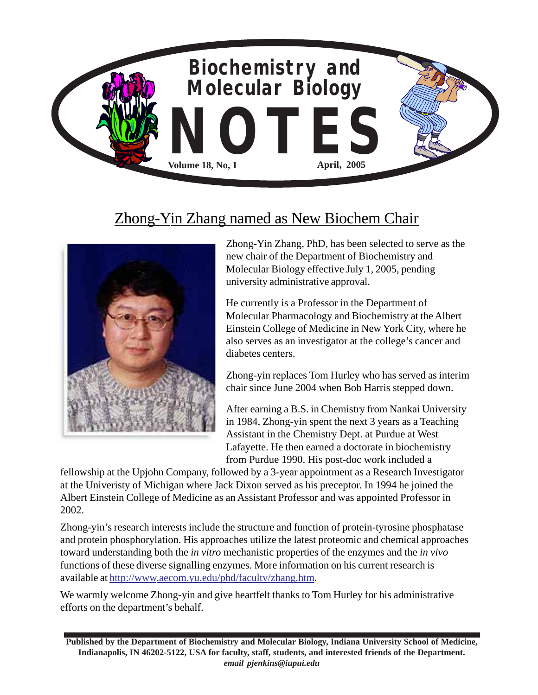

## Zhong-Yin Zhang named as New Biochem Chair



Zhong-Yin Zhang, PhD, has been selected to serve as the new chair of the Department of Biochemistry and Molecular Biology effective July 1, 2005, pending university administrative approval.

He currently is a Professor in the Department of Molecular Pharmacology and Biochemistry at the Albert Einstein College of Medicine in New York City, where he also serves as an investigator at the college's cancer and diabetes centers.

Zhong-yin replaces Tom Hurley who has served as interim chair since June 2004 when Bob Harris stepped down.

After earning a B.S. in Chemistry from Nankai University in 1984, Zhong-yin spent the next 3 years as a Teaching Assistant in the Chemistry Dept. at Purdue at West Lafayette. He then earned a doctorate in biochemistry from Purdue 1990. His post-doc work included a

fellowship at the Upjohn Company, followed by a 3-year appointment as a Research Investigator at the Univeristy of Michigan where Jack Dixon served as his preceptor. In 1994 he joined the Albert Einstein College of Medicine as an Assistant Professor and was appointed Professor in 2002.

Zhong-yin's research interests include the structure and function of protein-tyrosine phosphatase and protein phosphorylation. His approaches utilize the latest proteomic and chemical approaches toward understanding both the *in vitro* mechanistic properties of the enzymes and the *in vivo* functions of these diverse signalling enzymes. More information on his current research is available at http://www.aecom.yu.edu/phd/faculty/zhang.htm.

We warmly welcome Zhong-yin and give heartfelt thanks to Tom Hurley for his administrative efforts on the department's behalf.

**Published by the Department of Biochemistry and Molecular Biology, Indiana University School of Medicine, Indianapolis, IN 46202-5122, USA for faculty, staff, students, and interested friends of the Department.** *email pjenkins@iupui.edu*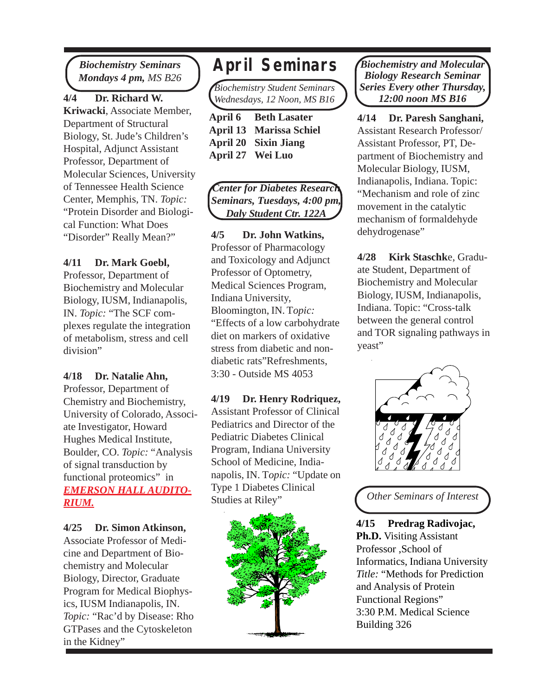*Biochemistry Seminars Mondays 4 pm, MS B26* **April Seminars**

**4/4 Dr. Richard W. Kriwacki**, Associate Member, Department of Structural Biology, St. Jude's Children's Hospital, Adjunct Assistant Professor, Department of Molecular Sciences, University of Tennessee Health Science Center, Memphis, TN. *Topic:* "Protein Disorder and Biological Function: What Does "Disorder" Really Mean?"

#### **4/11 Dr. Mark Goebl,**

Professor, Department of Biochemistry and Molecular Biology, IUSM, Indianapolis, IN. *Topic:* "The SCF complexes regulate the integration of metabolism, stress and cell division"

**4/18 Dr. Natalie Ahn,** Professor, Department of Chemistry and Biochemistry, University of Colorado, Associate Investigator, Howard Hughes Medical Institute, Boulder, CO. *Topic:* "Analysis of signal transduction by functional proteomics" in *EMERSON HALL AUDITO-RIUM.*

**4/25 Dr. Simon Atkinson,** Associate Professor of Medicine and Department of Biochemistry and Molecular Biology, Director, Graduate Program for Medical Biophysics, IUSM Indianapolis, IN. *Topic:* "Rac'd by Disease: Rho GTPases and the Cytoskeleton in the Kidney"

*Biochemistry Student Seminars Wednesdays, 12 Noon, MS B16*

| <b>April 6 Beth Lasater</b>    |
|--------------------------------|
| <b>April 13 Marissa Schiel</b> |
| <b>April 20 Sixin Jiang</b>    |
| April 27 Wei Luo               |

*Center for Diabetes Research Seminars, Tuesdays, 4:00 pm, Daly Student Ctr. 122A*

**4/5 Dr. John Watkins,** Professor of Pharmacology and Toxicology and Adjunct Professor of Optometry, Medical Sciences Program, Indiana University, Bloomington, IN. T*opic:* "Effects of a low carbohydrate diet on markers of oxidative stress from diabetic and nondiabetic rats"Refreshments, 3:30 - Outside MS 4053

**4/19 Dr. Henry Rodriquez,** Assistant Professor of Clinical Pediatrics and Director of the Pediatric Diabetes Clinical Program, Indiana University School of Medicine, Indianapolis, IN. T*opic:* "Update on Type 1 Diabetes Clinical Studies at Riley"



*Biochemistry and Molecular Biology Research Seminar Series Every other Thursday, 12:00 noon MS B16*

**4/14 Dr. Paresh Sanghani,** Assistant Research Professor/ Assistant Professor, PT, Department of Biochemistry and Molecular Biology, IUSM, Indianapolis, Indiana. Topic: "Mechanism and role of zinc movement in the catalytic mechanism of formaldehyde dehydrogenase"

**4/28 Kirk Staschk**e, Graduate Student, Department of Biochemistry and Molecular Biology, IUSM, Indianapolis, Indiana. Topic: "Cross-talk between the general control and TOR signaling pathways in yeast"



*Other Seminars of Interest*

**4/15 Predrag Radivojac, Ph.D.** Visiting Assistant Professor ,School of Informatics, Indiana University *Title:* "Methods for Prediction and Analysis of Protein Functional Regions" 3:30 P.M. Medical Science Building 326